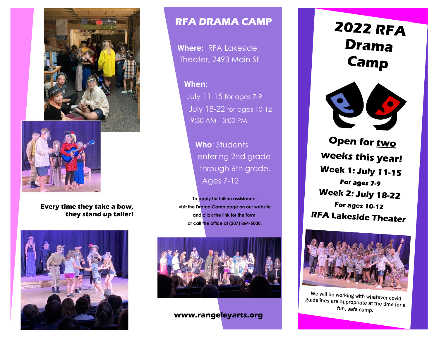



## **Every time they take a bow, they stand up taller!**



## **RFA DRAMA CAMP**

**Where:** RFA Lakeside Theater, 2493 Main St

**When**: July 11-15 for ages 7-9 July 18-22 for ages 10-12 9:30 AM - 3:00 PM

> **Who**: Students entering 2nd grade through 6th grade. Ages 7-12

**To apply for tuition assistance, visit the Drama Camp page on our website and click the link for the form, or call the office at (207) 864-5000.**



**www.rangeleyarts.org**

**2022 RFA Drama** Camp



Open for two **weeks this year! Week 1: July 11-15** For ages 7-9 **Week 2: July 18-22 For ages 10-12 RFA Lakeside Theater** 



We will be working with whatever covid guidelines are appropriate at the time for a fun, safe camp.